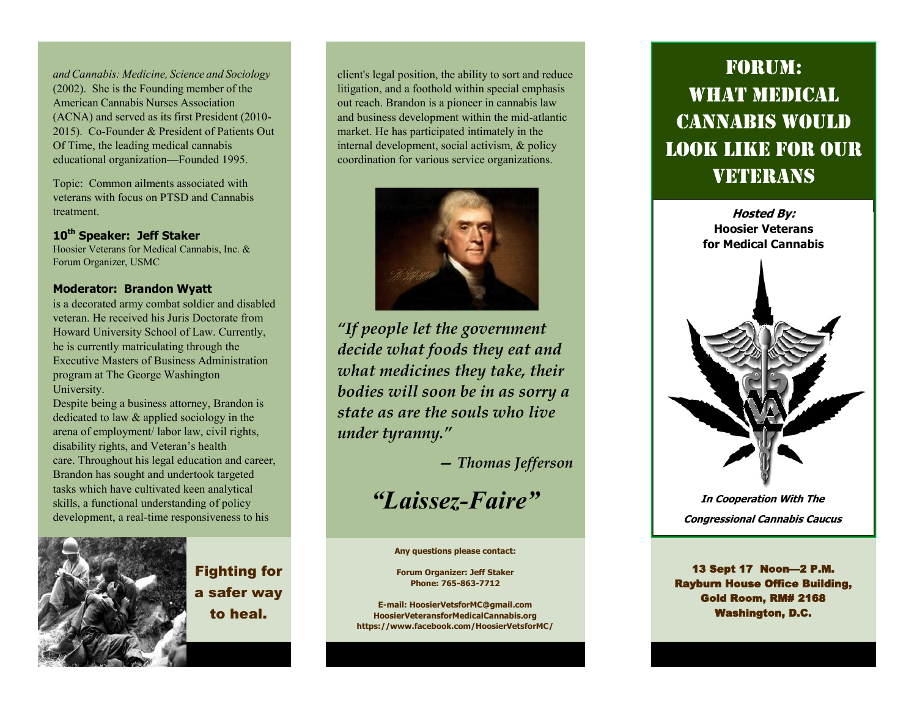*andCannabis: Medicine, Science and Sociology* (2002). She is the Founding member of the American Cannabis Nurses Association (ACNA) and served as its first President (2010- 2015). Co-Founder & President of Patients Out Of Time, the leading medical cannabis educational organization—Founded 1995.

Topic: Common ailments associated with veterans with focus on PTSD and Cannabis treatment.

### **10th Speaker: Jeff Staker**

Hoosier Veterans for Medical Cannabis, Inc. & Forum Organizer, USMC

#### **Moderator: Brandon Wyatt**

is a decorated army combat soldier and disabled veteran. He received his Juris Doctorate from Howard University School of Law. Currently, he is currently matriculating through the Executive Masters of Business Administration program at The George Washington University.

Despite being a business attorney, Brandon is dedicated to law & applied sociology in the arena of employment/ labor law, civil rights, disability rights, and Veteran's health care. Throughout his legal education and career, Brandon has sought and undertook targeted tasks which have cultivated keen analytical skills, a functional understanding of policy development, a real-time responsiveness to his



Fighting for a safer way to heal.

client's legal position, the ability to sort and reduce litigation, and a foothold within special emphasis out reach. Brandon is a pioneer in cannabis law and business development within the mid-atlantic market. He has participated intimately in the internal development, social activism, & policy coordination for various service organizations.



*"If people let the government decide what foods they eat and what medicines they take, their bodies will soon be in as sorry a state as are the souls who live under tyranny."*

*— Thomas Jefferson*

# *"Laissez-Faire"*

**Any questions please contact:**

**Forum Organizer: Jeff Staker Phone: 765-863-7712**

**E-mail: HoosierVetsforMC@gmail.com HoosierVeteransforMedicalCannabis.org https://www.facebook.com/HoosierVetsforMC/**

# Forum: WHAT MEDICAL Cannabis Would Look Like For Our VETERANS



13 Sept 17 Noon—2 P.M. Rayburn House Office Building, Gold Room, RM# 2168 Washington, D.C.